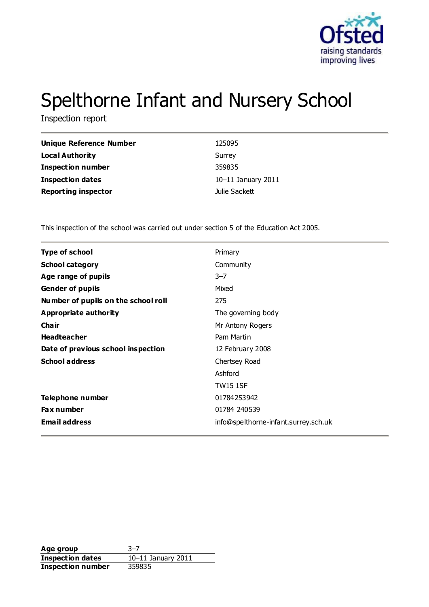

# Spelthorne Infant and Nursery School

Inspection report

| <b>Unique Reference Number</b> | 125095             |
|--------------------------------|--------------------|
| <b>Local Authority</b>         | Surrey             |
| <b>Inspection number</b>       | 359835             |
| <b>Inspection dates</b>        | 10-11 January 2011 |
| <b>Reporting inspector</b>     | Julie Sackett      |

This inspection of the school was carried out under section 5 of the Education Act 2005.

| <b>Type of school</b>               | Primary                              |
|-------------------------------------|--------------------------------------|
| <b>School category</b>              | Community                            |
| Age range of pupils                 | $3 - 7$                              |
| <b>Gender of pupils</b>             | Mixed                                |
| Number of pupils on the school roll | 275                                  |
| Appropriate authority               | The governing body                   |
| Cha ir                              | Mr Antony Rogers                     |
| <b>Headteacher</b>                  | Pam Martin                           |
| Date of previous school inspection  | 12 February 2008                     |
| <b>School address</b>               | Chertsey Road                        |
|                                     | Ashford                              |
|                                     | <b>TW15 1SF</b>                      |
| Telephone number                    | 01784253942                          |
| <b>Fax number</b>                   | 01784 240539                         |
| <b>Email address</b>                | info@spelthorne-infant.surrey.sch.uk |
|                                     |                                      |

**Age group** 3–7<br> **Inspection dates** 10–11 January 2011 **Inspection dates Inspection number** 359835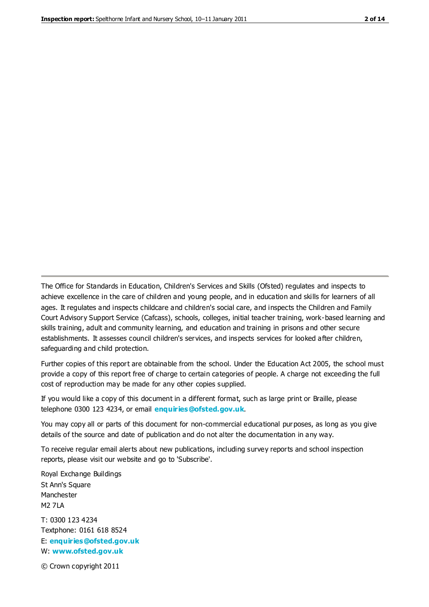The Office for Standards in Education, Children's Services and Skills (Ofsted) regulates and inspects to achieve excellence in the care of children and young people, and in education and skills for learners of all ages. It regulates and inspects childcare and children's social care, and inspects the Children and Family Court Advisory Support Service (Cafcass), schools, colleges, initial teacher training, work-based learning and skills training, adult and community learning, and education and training in prisons and other secure establishments. It assesses council children's services, and inspects services for looked after children, safeguarding and child protection.

Further copies of this report are obtainable from the school. Under the Education Act 2005, the school must provide a copy of this report free of charge to certain categories of people. A charge not exceeding the full cost of reproduction may be made for any other copies supplied.

If you would like a copy of this document in a different format, such as large print or Braille, please telephone 0300 123 4234, or email **[enquiries@ofsted.gov.uk](mailto:enquiries@ofsted.gov.uk)**.

You may copy all or parts of this document for non-commercial educational purposes, as long as you give details of the source and date of publication and do not alter the documentation in any way.

To receive regular email alerts about new publications, including survey reports and school inspection reports, please visit our website and go to 'Subscribe'.

Royal Exchange Buildings St Ann's Square Manchester M2 7LA T: 0300 123 4234 Textphone: 0161 618 8524 E: **[enquiries@ofsted.gov.uk](mailto:enquiries@ofsted.gov.uk)**

W: **[www.ofsted.gov.uk](http://www.ofsted.gov.uk/)**

© Crown copyright 2011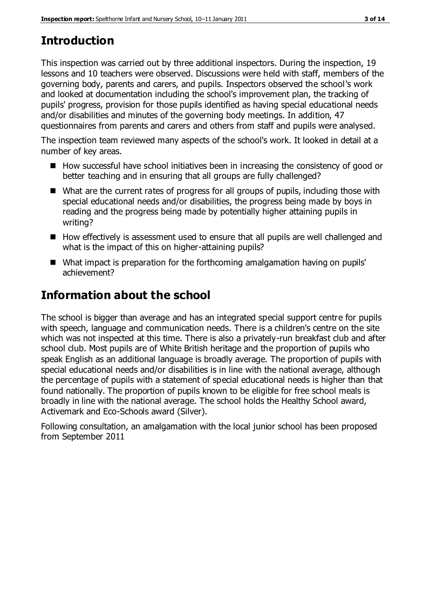# **Introduction**

This inspection was carried out by three additional inspectors. During the inspection, 19 lessons and 10 teachers were observed. Discussions were held with staff, members of the governing body, parents and carers, and pupils. Inspectors observed the school's work and looked at documentation including the school's improvement plan, the tracking of pupils' progress, provision for those pupils identified as having special educational needs and/or disabilities and minutes of the governing body meetings. In addition, 47 questionnaires from parents and carers and others from staff and pupils were analysed.

The inspection team reviewed many aspects of the school's work. It looked in detail at a number of key areas.

- How successful have school initiatives been in increasing the consistency of good or better teaching and in ensuring that all groups are fully challenged?
- What are the current rates of progress for all groups of pupils, including those with special educational needs and/or disabilities, the progress being made by boys in reading and the progress being made by potentially higher attaining pupils in writing?
- How effectively is assessment used to ensure that all pupils are well challenged and what is the impact of this on higher-attaining pupils?
- What impact is preparation for the forthcoming amalgamation having on pupils' achievement?

# **Information about the school**

The school is bigger than average and has an integrated special support centre for pupils with speech, language and communication needs. There is a children's centre on the site which was not inspected at this time. There is also a privately-run breakfast club and after school club. Most pupils are of White British heritage and the proportion of pupils who speak English as an additional language is broadly average. The proportion of pupils with special educational needs and/or disabilities is in line with the national average, although the percentage of pupils with a statement of special educational needs is higher than that found nationally. The proportion of pupils known to be eligible for free school meals is broadly in line with the national average. The school holds the Healthy School award, Activemark and Eco-Schools award (Silver).

Following consultation, an amalgamation with the local junior school has been proposed from September 2011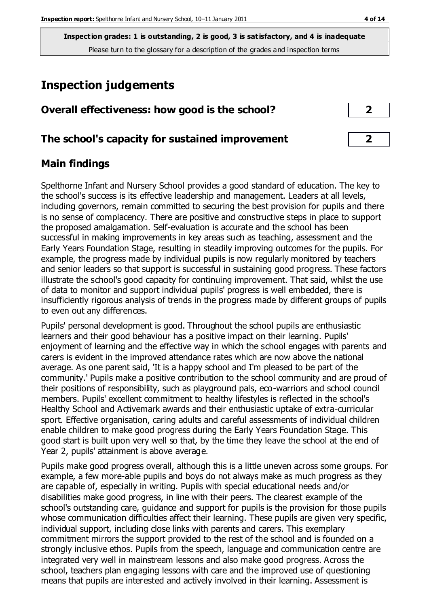**Inspection grades: 1 is outstanding, 2 is good, 3 is satisfactory, and 4 is inadequate** Please turn to the glossary for a description of the grades and inspection terms

# **Inspection judgements**

| Overall effectiveness: how good is the school? |  |
|------------------------------------------------|--|
|------------------------------------------------|--|

#### **The school's capacity for sustained improvement 2**

#### **Main findings**

Spelthorne Infant and Nursery School provides a good standard of education. The key to the school's success is its effective leadership and management. Leaders at all levels, including governors, remain committed to securing the best provision for pupils and there is no sense of complacency. There are positive and constructive steps in place to support the proposed amalgamation. Self-evaluation is accurate and the school has been successful in making improvements in key areas such as teaching, assessment and the Early Years Foundation Stage, resulting in steadily improving outcomes for the pupils. For example, the progress made by individual pupils is now regularly monitored by teachers and senior leaders so that support is successful in sustaining good progress. These factors illustrate the school's good capacity for continuing improvement. That said, whilst the use of data to monitor and support individual pupils' progress is well embedded, there is insufficiently rigorous analysis of trends in the progress made by different groups of pupils to even out any differences.

Pupils' personal development is good. Throughout the school pupils are enthusiastic learners and their good behaviour has a positive impact on their learning. Pupils' enjoyment of learning and the effective way in which the school engages with parents and carers is evident in the improved attendance rates which are now above the national average. As one parent said, 'It is a happy school and I'm pleased to be part of the community.' Pupils make a positive contribution to the school community and are proud of their positions of responsibility, such as playground pals, eco-warriors and school council members. Pupils' excellent commitment to healthy lifestyles is reflected in the school's Healthy School and Activemark awards and their enthusiastic uptake of extra-curricular sport. Effective organisation, caring adults and careful assessments of individual children enable children to make good progress during the Early Years Foundation Stage. This good start is built upon very well so that, by the time they leave the school at the end of Year 2, pupils' attainment is above average.

Pupils make good progress overall, although this is a little uneven across some groups. For example, a few more-able pupils and boys do not always make as much progress as they are capable of, especially in writing. Pupils with special educational needs and/or disabilities make good progress, in line with their peers. The clearest example of the school's outstanding care, guidance and support for pupils is the provision for those pupils whose communication difficulties affect their learning. These pupils are given very specific, individual support, including close links with parents and carers. This exemplary commitment mirrors the support provided to the rest of the school and is founded on a strongly inclusive ethos. Pupils from the speech, language and communication centre are integrated very well in mainstream lessons and also make good progress. Across the school, teachers plan engaging lessons with care and the improved use of questioning means that pupils are interested and actively involved in their learning. Assessment is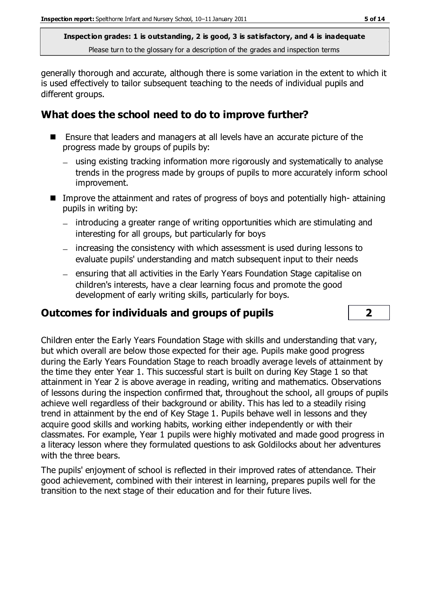**Inspection grades: 1 is outstanding, 2 is good, 3 is satisfactory, and 4 is inadequate** Please turn to the glossary for a description of the grades and inspection terms

generally thorough and accurate, although there is some variation in the extent to which it is used effectively to tailor subsequent teaching to the needs of individual pupils and different groups.

## **What does the school need to do to improve further?**

- Ensure that leaders and managers at all levels have an accurate picture of the progress made by groups of pupils by:
	- using existing tracking information more rigorously and systematically to analyse trends in the progress made by groups of pupils to more accurately inform school improvement.
- Improve the attainment and rates of progress of boys and potentially high-attaining pupils in writing by:
	- introducing a greater range of writing opportunities which are stimulating and interesting for all groups, but particularly for boys
	- increasing the consistency with which assessment is used during lessons to evaluate pupils' understanding and match subsequent input to their needs
	- ensuring that all activities in the Early Years Foundation Stage capitalise on children's interests, have a clear learning focus and promote the good development of early writing skills, particularly for boys.

# **Outcomes for individuals and groups of pupils 2**

Children enter the Early Years Foundation Stage with skills and understanding that vary, but which overall are below those expected for their age. Pupils make good progress during the Early Years Foundation Stage to reach broadly average levels of attainment by the time they enter Year 1. This successful start is built on during Key Stage 1 so that attainment in Year 2 is above average in reading, writing and mathematics. Observations of lessons during the inspection confirmed that, throughout the school, all groups of pupils achieve well regardless of their background or ability. This has led to a steadily rising trend in attainment by the end of Key Stage 1. Pupils behave well in lessons and they acquire good skills and working habits, working either independently or with their classmates. For example, Year 1 pupils were highly motivated and made good progress in a literacy lesson where they formulated questions to ask Goldilocks about her adventures with the three bears.

The pupils' enjoyment of school is reflected in their improved rates of attendance. Their good achievement, combined with their interest in learning, prepares pupils well for the transition to the next stage of their education and for their future lives.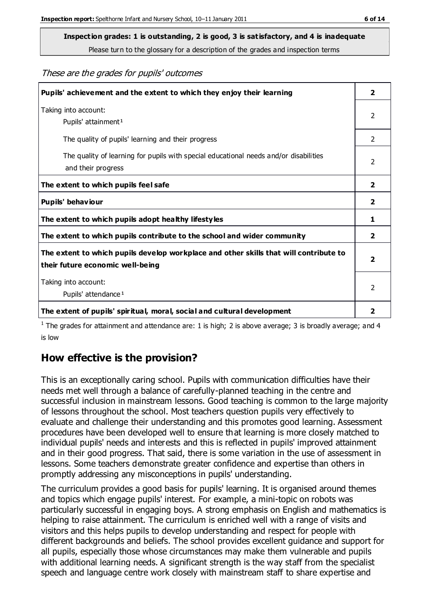Please turn to the glossary for a description of the grades and inspection terms

These are the grades for pupils' outcomes

| Pupils' achievement and the extent to which they enjoy their learning                                                     |                         |
|---------------------------------------------------------------------------------------------------------------------------|-------------------------|
| Taking into account:<br>Pupils' attainment <sup>1</sup>                                                                   | 2                       |
| The quality of pupils' learning and their progress                                                                        | $\mathcal{P}$           |
| The quality of learning for pupils with special educational needs and/or disabilities<br>and their progress               | $\mathcal{P}$           |
| The extent to which pupils feel safe                                                                                      | 2                       |
| Pupils' behaviour                                                                                                         | $\overline{\mathbf{2}}$ |
| The extent to which pupils adopt healthy lifestyles                                                                       | 1                       |
| The extent to which pupils contribute to the school and wider community                                                   | 2                       |
| The extent to which pupils develop workplace and other skills that will contribute to<br>their future economic well-being |                         |
| Taking into account:<br>Pupils' attendance <sup>1</sup>                                                                   | $\mathcal{P}$           |
| The extent of pupils' spiritual, moral, social and cultural development                                                   | 2                       |

<sup>1</sup> The grades for attainment and attendance are: 1 is high; 2 is above average; 3 is broadly average; and 4 is low

## **How effective is the provision?**

This is an exceptionally caring school. Pupils with communication difficulties have their needs met well through a balance of carefully-planned teaching in the centre and successful inclusion in mainstream lessons. Good teaching is common to the large majority of lessons throughout the school. Most teachers question pupils very effectively to evaluate and challenge their understanding and this promotes good learning. Assessment procedures have been developed well to ensure that learning is more closely matched to individual pupils' needs and interests and this is reflected in pupils' improved attainment and in their good progress. That said, there is some variation in the use of assessment in lessons. Some teachers demonstrate greater confidence and expertise than others in promptly addressing any misconceptions in pupils' understanding.

The curriculum provides a good basis for pupils' learning. It is organised around themes and topics which engage pupils' interest. For example, a mini-topic on robots was particularly successful in engaging boys. A strong emphasis on English and mathematics is helping to raise attainment. The curriculum is enriched well with a range of visits and visitors and this helps pupils to develop understanding and respect for people with different backgrounds and beliefs. The school provides excellent guidance and support for all pupils, especially those whose circumstances may make them vulnerable and pupils with additional learning needs. A significant strength is the way staff from the specialist speech and language centre work closely with mainstream staff to share expertise and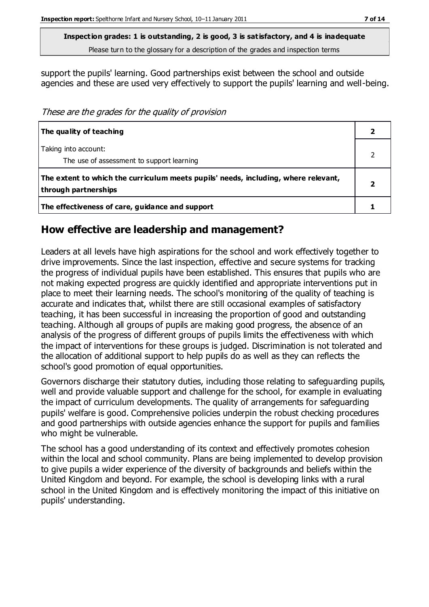Please turn to the glossary for a description of the grades and inspection terms

support the pupils' learning. Good partnerships exist between the school and outside agencies and these are used very effectively to support the pupils' learning and well-being.

These are the grades for the quality of provision

| The quality of teaching                                                                                    |  |
|------------------------------------------------------------------------------------------------------------|--|
| Taking into account:<br>The use of assessment to support learning                                          |  |
| The extent to which the curriculum meets pupils' needs, including, where relevant,<br>through partnerships |  |
| The effectiveness of care, guidance and support                                                            |  |

#### **How effective are leadership and management?**

Leaders at all levels have high aspirations for the school and work effectively together to drive improvements. Since the last inspection, effective and secure systems for tracking the progress of individual pupils have been established. This ensures that pupils who are not making expected progress are quickly identified and appropriate interventions put in place to meet their learning needs. The school's monitoring of the quality of teaching is accurate and indicates that, whilst there are still occasional examples of satisfactory teaching, it has been successful in increasing the proportion of good and outstanding teaching. Although all groups of pupils are making good progress, the absence of an analysis of the progress of different groups of pupils limits the effectiveness with which the impact of interventions for these groups is judged. Discrimination is not tolerated and the allocation of additional support to help pupils do as well as they can reflects the school's good promotion of equal opportunities.

Governors discharge their statutory duties, including those relating to safeguarding pupils, well and provide valuable support and challenge for the school, for example in evaluating the impact of curriculum developments. The quality of arrangements for safeguarding pupils' welfare is good. Comprehensive policies underpin the robust checking procedures and good partnerships with outside agencies enhance the support for pupils and families who might be vulnerable.

The school has a good understanding of its context and effectively promotes cohesion within the local and school community. Plans are being implemented to develop provision to give pupils a wider experience of the diversity of backgrounds and beliefs within the United Kingdom and beyond. For example, the school is developing links with a rural school in the United Kingdom and is effectively monitoring the impact of this initiative on pupils' understanding.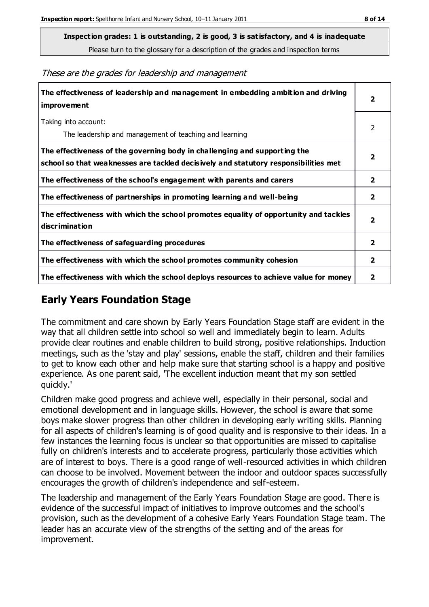Please turn to the glossary for a description of the grades and inspection terms

**The effectiveness of leadership and management in embedding ambition and driving improvement 2** Taking into account: The leadership and management of teaching and learning 2 **The effectiveness of the governing body in challenging and supporting the school so that weaknesses are tackled decisively and statutory responsibilities met 2 The effectiveness of the school's engagement with parents and carers 2 The effectiveness of partnerships in promoting learning and well-being 2 The effectiveness with which the school promotes equality of opportunity and tackles discrimination 2 The effectiveness of safeguarding procedures 2 The effectiveness with which the school promotes community cohesion 2 The effectiveness with which the school deploys resources to achieve value for money 2**

These are the grades for leadership and management

## **Early Years Foundation Stage**

The commitment and care shown by Early Years Foundation Stage staff are evident in the way that all children settle into school so well and immediately begin to learn. Adults provide clear routines and enable children to build strong, positive relationships. Induction meetings, such as the 'stay and play' sessions, enable the staff, children and their families to get to know each other and help make sure that starting school is a happy and positive experience. As one parent said, 'The excellent induction meant that my son settled quickly.'

Children make good progress and achieve well, especially in their personal, social and emotional development and in language skills. However, the school is aware that some boys make slower progress than other children in developing early writing skills. Planning for all aspects of children's learning is of good quality and is responsive to their ideas. In a few instances the learning focus is unclear so that opportunities are missed to capitalise fully on children's interests and to accelerate progress, particularly those activities which are of interest to boys. There is a good range of well-resourced activities in which children can choose to be involved. Movement between the indoor and outdoor spaces successfully encourages the growth of children's independence and self-esteem.

The leadership and management of the Early Years Foundation Stage are good. There is evidence of the successful impact of initiatives to improve outcomes and the school's provision, such as the development of a cohesive Early Years Foundation Stage team. The leader has an accurate view of the strengths of the setting and of the areas for improvement.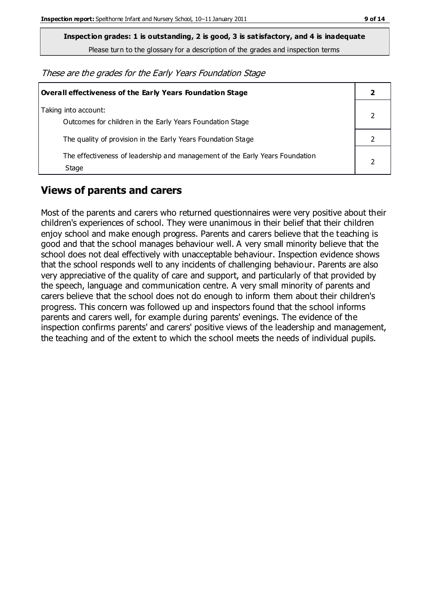Please turn to the glossary for a description of the grades and inspection terms

These are the grades for the Early Years Foundation Stage

| Overall effectiveness of the Early Years Foundation Stage                             |  |  |
|---------------------------------------------------------------------------------------|--|--|
| Taking into account:<br>Outcomes for children in the Early Years Foundation Stage     |  |  |
| The quality of provision in the Early Years Foundation Stage                          |  |  |
| The effectiveness of leadership and management of the Early Years Foundation<br>Stage |  |  |

## **Views of parents and carers**

Most of the parents and carers who returned questionnaires were very positive about their children's experiences of school. They were unanimous in their belief that their children enjoy school and make enough progress. Parents and carers believe that the teaching is good and that the school manages behaviour well. A very small minority believe that the school does not deal effectively with unacceptable behaviour. Inspection evidence shows that the school responds well to any incidents of challenging behaviour. Parents are also very appreciative of the quality of care and support, and particularly of that provided by the speech, language and communication centre. A very small minority of parents and carers believe that the school does not do enough to inform them about their children's progress. This concern was followed up and inspectors found that the school informs parents and carers well, for example during parents' evenings. The evidence of the inspection confirms parents' and carers' positive views of the leadership and management, the teaching and of the extent to which the school meets the needs of individual pupils.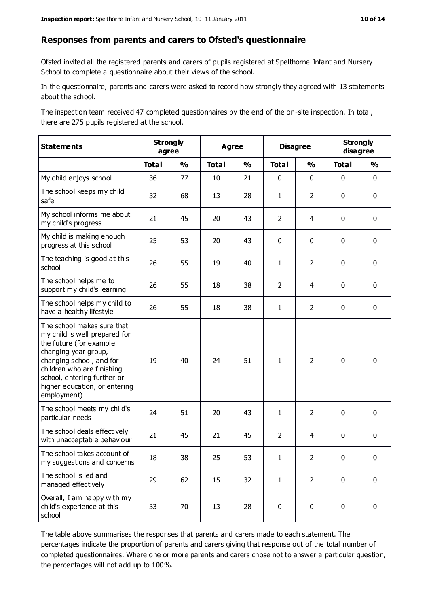#### **Responses from parents and carers to Ofsted's questionnaire**

Ofsted invited all the registered parents and carers of pupils registered at Spelthorne Infant and Nursery School to complete a questionnaire about their views of the school.

In the questionnaire, parents and carers were asked to record how strongly they agreed with 13 statements about the school.

The inspection team received 47 completed questionnaires by the end of the on-site inspection. In total, there are 275 pupils registered at the school.

| <b>Statements</b>                                                                                                                                                                                                                                       | <b>Strongly</b><br>agree |               | Agree        |               | <b>Disagree</b> |                | <b>Strongly</b><br>disagree |               |
|---------------------------------------------------------------------------------------------------------------------------------------------------------------------------------------------------------------------------------------------------------|--------------------------|---------------|--------------|---------------|-----------------|----------------|-----------------------------|---------------|
|                                                                                                                                                                                                                                                         | <b>Total</b>             | $\frac{1}{2}$ | <b>Total</b> | $\frac{1}{2}$ | <b>Total</b>    | $\frac{0}{0}$  | <b>Total</b>                | $\frac{0}{0}$ |
| My child enjoys school                                                                                                                                                                                                                                  | 36                       | 77            | 10           | 21            | 0               | $\mathbf 0$    | $\mathbf 0$                 | $\mathbf 0$   |
| The school keeps my child<br>safe                                                                                                                                                                                                                       | 32                       | 68            | 13           | 28            | $\mathbf{1}$    | $\overline{2}$ | $\mathbf 0$                 | $\mathbf 0$   |
| My school informs me about<br>my child's progress                                                                                                                                                                                                       | 21                       | 45            | 20           | 43            | $\overline{2}$  | 4              | $\mathbf 0$                 | $\mathbf 0$   |
| My child is making enough<br>progress at this school                                                                                                                                                                                                    | 25                       | 53            | 20           | 43            | 0               | $\mathbf 0$    | $\mathbf 0$                 | $\mathbf 0$   |
| The teaching is good at this<br>school                                                                                                                                                                                                                  | 26                       | 55            | 19           | 40            | $\mathbf{1}$    | $\overline{2}$ | 0                           | $\mathbf 0$   |
| The school helps me to<br>support my child's learning                                                                                                                                                                                                   | 26                       | 55            | 18           | 38            | $\overline{2}$  | 4              | $\mathbf 0$                 | $\mathbf 0$   |
| The school helps my child to<br>have a healthy lifestyle                                                                                                                                                                                                | 26                       | 55            | 18           | 38            | 1               | $\overline{2}$ | $\mathbf 0$                 | $\mathbf 0$   |
| The school makes sure that<br>my child is well prepared for<br>the future (for example<br>changing year group,<br>changing school, and for<br>children who are finishing<br>school, entering further or<br>higher education, or entering<br>employment) | 19                       | 40            | 24           | 51            | $\mathbf{1}$    | $\overline{2}$ | $\mathbf 0$                 | $\mathbf 0$   |
| The school meets my child's<br>particular needs                                                                                                                                                                                                         | 24                       | 51            | 20           | 43            | $\mathbf{1}$    | $\overline{2}$ | $\mathbf 0$                 | $\mathbf 0$   |
| The school deals effectively<br>with unacceptable behaviour                                                                                                                                                                                             | 21                       | 45            | 21           | 45            | $\overline{2}$  | $\overline{4}$ | $\mathbf 0$                 | $\mathbf 0$   |
| The school takes account of<br>my suggestions and concerns                                                                                                                                                                                              | 18                       | 38            | 25           | 53            | 1               | $\overline{2}$ | $\mathbf 0$                 | $\mathbf{0}$  |
| The school is led and<br>managed effectively                                                                                                                                                                                                            | 29                       | 62            | 15           | 32            | $\mathbf{1}$    | $\overline{2}$ | $\mathbf 0$                 | $\mathbf 0$   |
| Overall, I am happy with my<br>child's experience at this<br>school                                                                                                                                                                                     | 33                       | 70            | 13           | 28            | $\pmb{0}$       | $\mathbf 0$    | $\mathbf 0$                 | $\pmb{0}$     |

The table above summarises the responses that parents and carers made to each statement. The percentages indicate the proportion of parents and carers giving that response out of the total number of completed questionnaires. Where one or more parents and carers chose not to answer a particular question, the percentages will not add up to 100%.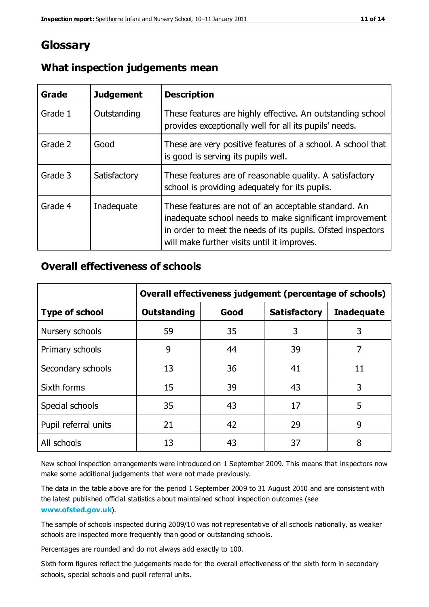# **Glossary**

| Grade   | <b>Judgement</b> | <b>Description</b>                                                                                                                                                                                                            |
|---------|------------------|-------------------------------------------------------------------------------------------------------------------------------------------------------------------------------------------------------------------------------|
| Grade 1 | Outstanding      | These features are highly effective. An outstanding school<br>provides exceptionally well for all its pupils' needs.                                                                                                          |
| Grade 2 | Good             | These are very positive features of a school. A school that<br>is good is serving its pupils well.                                                                                                                            |
| Grade 3 | Satisfactory     | These features are of reasonable quality. A satisfactory<br>school is providing adequately for its pupils.                                                                                                                    |
| Grade 4 | Inadequate       | These features are not of an acceptable standard. An<br>inadequate school needs to make significant improvement<br>in order to meet the needs of its pupils. Ofsted inspectors<br>will make further visits until it improves. |

#### **What inspection judgements mean**

#### **Overall effectiveness of schools**

|                       | Overall effectiveness judgement (percentage of schools) |      |                     |                   |
|-----------------------|---------------------------------------------------------|------|---------------------|-------------------|
| <b>Type of school</b> | <b>Outstanding</b>                                      | Good | <b>Satisfactory</b> | <b>Inadequate</b> |
| Nursery schools       | 59                                                      | 35   | 3                   | 3                 |
| Primary schools       | 9                                                       | 44   | 39                  | 7                 |
| Secondary schools     | 13                                                      | 36   | 41                  | 11                |
| Sixth forms           | 15                                                      | 39   | 43                  | 3                 |
| Special schools       | 35                                                      | 43   | 17                  | 5                 |
| Pupil referral units  | 21                                                      | 42   | 29                  | 9                 |
| All schools           | 13                                                      | 43   | 37                  | 8                 |

New school inspection arrangements were introduced on 1 September 2009. This means that inspectors now make some additional judgements that were not made previously.

The data in the table above are for the period 1 September 2009 to 31 August 2010 and are consistent with the latest published official statistics about maintained school inspec tion outcomes (see **[www.ofsted.gov.uk](http://www.ofsted.gov.uk/)**).

The sample of schools inspected during 2009/10 was not representative of all schools nationally, as weaker schools are inspected more frequently than good or outstanding schools.

Percentages are rounded and do not always add exactly to 100.

Sixth form figures reflect the judgements made for the overall effectiveness of the sixth form in secondary schools, special schools and pupil referral units.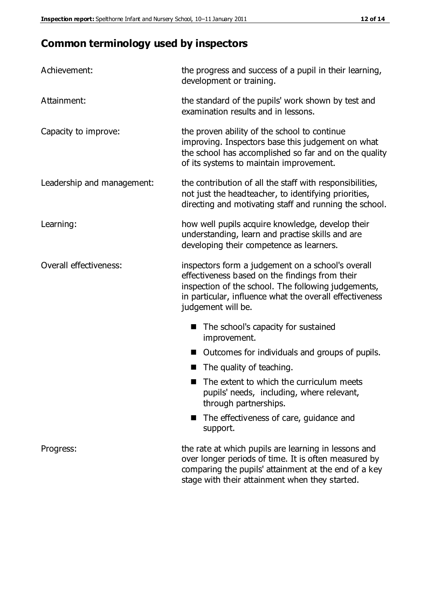# **Common terminology used by inspectors**

| Achievement:               | the progress and success of a pupil in their learning,<br>development or training.                                                                                                                                                          |  |  |
|----------------------------|---------------------------------------------------------------------------------------------------------------------------------------------------------------------------------------------------------------------------------------------|--|--|
| Attainment:                | the standard of the pupils' work shown by test and<br>examination results and in lessons.                                                                                                                                                   |  |  |
| Capacity to improve:       | the proven ability of the school to continue<br>improving. Inspectors base this judgement on what<br>the school has accomplished so far and on the quality<br>of its systems to maintain improvement.                                       |  |  |
| Leadership and management: | the contribution of all the staff with responsibilities,<br>not just the headteacher, to identifying priorities,<br>directing and motivating staff and running the school.                                                                  |  |  |
| Learning:                  | how well pupils acquire knowledge, develop their<br>understanding, learn and practise skills and are<br>developing their competence as learners.                                                                                            |  |  |
| Overall effectiveness:     | inspectors form a judgement on a school's overall<br>effectiveness based on the findings from their<br>inspection of the school. The following judgements,<br>in particular, influence what the overall effectiveness<br>judgement will be. |  |  |
|                            | The school's capacity for sustained<br>improvement.                                                                                                                                                                                         |  |  |
|                            | Outcomes for individuals and groups of pupils.                                                                                                                                                                                              |  |  |
|                            | The quality of teaching.                                                                                                                                                                                                                    |  |  |
|                            | The extent to which the curriculum meets<br>pupils' needs, including, where relevant,<br>through partnerships.                                                                                                                              |  |  |
|                            | The effectiveness of care, guidance and<br>support.                                                                                                                                                                                         |  |  |
| Progress:                  | the rate at which pupils are learning in lessons and<br>over longer periods of time. It is often measured by<br>comparing the pupils' attainment at the end of a key                                                                        |  |  |

stage with their attainment when they started.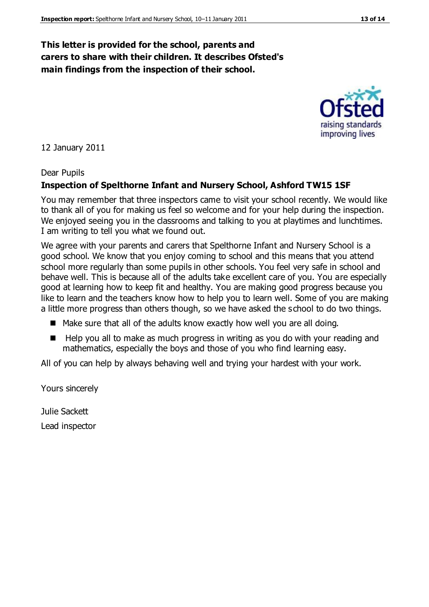#### **This letter is provided for the school, parents and carers to share with their children. It describes Ofsted's main findings from the inspection of their school.**

12 January 2011

#### Dear Pupils

#### **Inspection of Spelthorne Infant and Nursery School, Ashford TW15 1SF**

You may remember that three inspectors came to visit your school recently. We would like to thank all of you for making us feel so welcome and for your help during the inspection. We enjoyed seeing you in the classrooms and talking to you at playtimes and lunchtimes. I am writing to tell you what we found out.

We agree with your parents and carers that Spelthorne Infant and Nursery School is a good school. We know that you enjoy coming to school and this means that you attend school more regularly than some pupils in other schools. You feel very safe in school and behave well. This is because all of the adults take excellent care of you. You are especially good at learning how to keep fit and healthy. You are making good progress because you like to learn and the teachers know how to help you to learn well. Some of you are making a little more progress than others though, so we have asked the school to do two things.

- Make sure that all of the adults know exactly how well you are all doing.
- $\blacksquare$  Help you all to make as much progress in writing as you do with your reading and mathematics, especially the boys and those of you who find learning easy.

All of you can help by always behaving well and trying your hardest with your work.

Yours sincerely

Julie Sackett Lead inspector